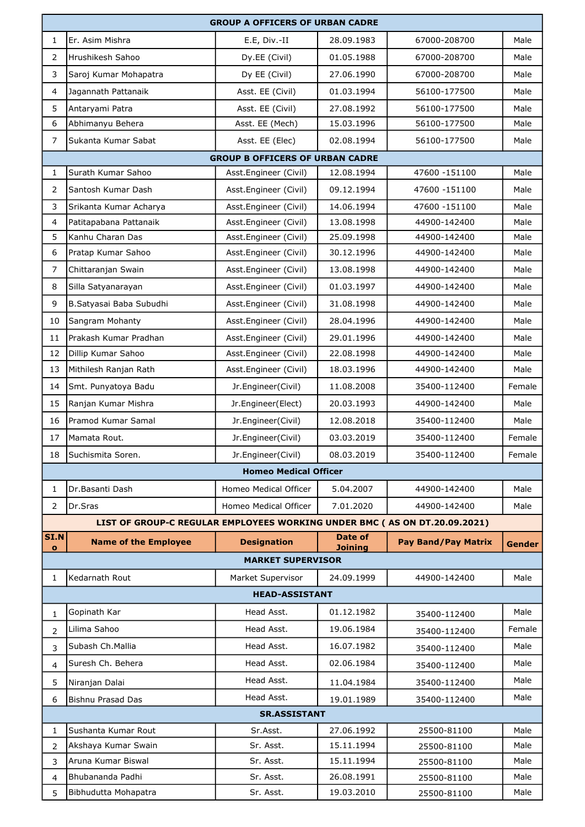|                   | <b>GROUP A OFFICERS OF URBAN CADRE</b>                                    |                                        |                           |                            |        |  |  |
|-------------------|---------------------------------------------------------------------------|----------------------------------------|---------------------------|----------------------------|--------|--|--|
| $\mathbf{1}$      | Er. Asim Mishra                                                           | E.E, Div.-II                           | 28.09.1983                | 67000-208700               | Male   |  |  |
| $\overline{2}$    | Hrushikesh Sahoo                                                          | Dy.EE (Civil)                          | 01.05.1988                | 67000-208700               | Male   |  |  |
| 3                 | Saroj Kumar Mohapatra                                                     | Dy EE (Civil)                          | 27.06.1990                | 67000-208700               | Male   |  |  |
| $\overline{4}$    | Jagannath Pattanaik                                                       | Asst. EE (Civil)                       | 01.03.1994                | 56100-177500               | Male   |  |  |
| 5                 | Antaryami Patra                                                           | Asst. EE (Civil)                       | 27.08.1992                | 56100-177500               | Male   |  |  |
| 6                 | Abhimanyu Behera                                                          | Asst. EE (Mech)                        | 15.03.1996                | 56100-177500               | Male   |  |  |
| $\overline{7}$    | Sukanta Kumar Sabat                                                       | Asst. EE (Elec)                        | 02.08.1994                | 56100-177500               | Male   |  |  |
|                   |                                                                           | <b>GROUP B OFFICERS OF URBAN CADRE</b> |                           |                            |        |  |  |
| 1                 | Surath Kumar Sahoo                                                        | Asst.Engineer (Civil)                  | 12.08.1994                | 47600 - 151100             | Male   |  |  |
| 2                 | Santosh Kumar Dash                                                        | Asst.Engineer (Civil)                  | 09.12.1994                | 47600 -151100              | Male   |  |  |
| 3                 | Srikanta Kumar Acharya                                                    | Asst.Engineer (Civil)                  | 14.06.1994                | 47600 -151100              | Male   |  |  |
| 4                 | Patitapabana Pattanaik                                                    | Asst.Engineer (Civil)                  | 13.08.1998                | 44900-142400               | Male   |  |  |
| 5                 | Kanhu Charan Das                                                          | Asst.Engineer (Civil)                  | 25.09.1998                | 44900-142400               | Male   |  |  |
| 6                 | Pratap Kumar Sahoo                                                        | Asst.Engineer (Civil)                  | 30.12.1996                | 44900-142400               | Male   |  |  |
| $\overline{7}$    | Chittaranjan Swain                                                        | Asst.Engineer (Civil)                  | 13.08.1998                | 44900-142400               | Male   |  |  |
| 8                 | Silla Satyanarayan                                                        | Asst.Engineer (Civil)                  | 01.03.1997                | 44900-142400               | Male   |  |  |
| 9                 | B.Satyasai Baba Subudhi                                                   | Asst.Engineer (Civil)                  | 31.08.1998                | 44900-142400               | Male   |  |  |
| 10                | Sangram Mohanty                                                           | Asst.Engineer (Civil)                  | 28.04.1996                | 44900-142400               | Male   |  |  |
| 11                | Prakash Kumar Pradhan                                                     | Asst.Engineer (Civil)                  | 29.01.1996                | 44900-142400               | Male   |  |  |
| 12                | Dillip Kumar Sahoo                                                        | Asst.Engineer (Civil)                  | 22.08.1998                | 44900-142400               | Male   |  |  |
| 13                | Mithilesh Ranjan Rath                                                     | Asst.Engineer (Civil)                  | 18.03.1996                | 44900-142400               | Male   |  |  |
| 14                | Smt. Punyatoya Badu                                                       | Jr.Engineer(Civil)                     | 11.08.2008                | 35400-112400               | Female |  |  |
| 15                | Ranjan Kumar Mishra                                                       | Jr.Engineer(Elect)                     | 20.03.1993                | 44900-142400               | Male   |  |  |
| 16                | Pramod Kumar Samal                                                        | Jr.Engineer(Civil)                     | 12.08.2018                | 35400-112400               | Male   |  |  |
| 17                | Mamata Rout.                                                              | Jr.Engineer(Civil)                     | 03.03.2019                | 35400-112400               | Female |  |  |
| 18                | Suchismita Soren.                                                         | Jr.Engineer(Civil)                     | 08.03.2019                | 35400-112400               | Female |  |  |
|                   |                                                                           | <b>Homeo Medical Officer</b>           |                           |                            |        |  |  |
| 1                 | Dr. Basanti Dash                                                          | Homeo Medical Officer                  | 5.04.2007                 | 44900-142400               | Male   |  |  |
| 2                 | Dr.Sras                                                                   | Homeo Medical Officer                  | 7.01.2020                 | 44900-142400               | Male   |  |  |
|                   | LIST OF GROUP-C REGULAR EMPLOYEES WORKING UNDER BMC (AS ON DT.20.09.2021) |                                        |                           |                            |        |  |  |
| SI.N<br>$\bullet$ | <b>Name of the Employee</b>                                               | <b>Designation</b>                     | Date of<br><b>Joining</b> | <b>Pay Band/Pay Matrix</b> | Gender |  |  |
|                   |                                                                           | <b>MARKET SUPERVISOR</b>               |                           |                            |        |  |  |
| 1                 | Kedarnath Rout                                                            | Market Supervisor                      | 24.09.1999                | 44900-142400               | Male   |  |  |
|                   |                                                                           | <b>HEAD-ASSISTANT</b>                  |                           |                            |        |  |  |
| 1                 | Gopinath Kar                                                              | Head Asst.                             | 01.12.1982                | 35400-112400               | Male   |  |  |
| 2                 | Lilima Sahoo                                                              | Head Asst.                             | 19.06.1984                | 35400-112400               | Female |  |  |
| 3                 | Subash Ch. Mallia                                                         | Head Asst.                             | 16.07.1982                | 35400-112400               | Male   |  |  |
| $\overline{4}$    | Suresh Ch. Behera                                                         | Head Asst.                             | 02.06.1984                | 35400-112400               | Male   |  |  |
| 5                 | Niranjan Dalai                                                            | Head Asst.                             | 11.04.1984                | 35400-112400               | Male   |  |  |
| 6                 | Bishnu Prasad Das                                                         | Head Asst.                             | 19.01.1989                | 35400-112400               | Male   |  |  |
|                   |                                                                           | <b>SR.ASSISTANT</b>                    |                           |                            |        |  |  |
| 1                 | Sushanta Kumar Rout                                                       | Sr.Asst.                               | 27.06.1992                | 25500-81100                | Male   |  |  |
| $\overline{2}$    | Akshaya Kumar Swain                                                       | Sr. Asst.                              | 15.11.1994                | 25500-81100                | Male   |  |  |
| 3                 | Aruna Kumar Biswal                                                        | Sr. Asst.                              | 15.11.1994                | 25500-81100                | Male   |  |  |
| $\overline{4}$    | Bhubananda Padhi                                                          | Sr. Asst.                              | 26.08.1991                | 25500-81100                | Male   |  |  |
| 5                 | Bibhudutta Mohapatra                                                      | Sr. Asst.                              | 19.03.2010                | 25500-81100                | Male   |  |  |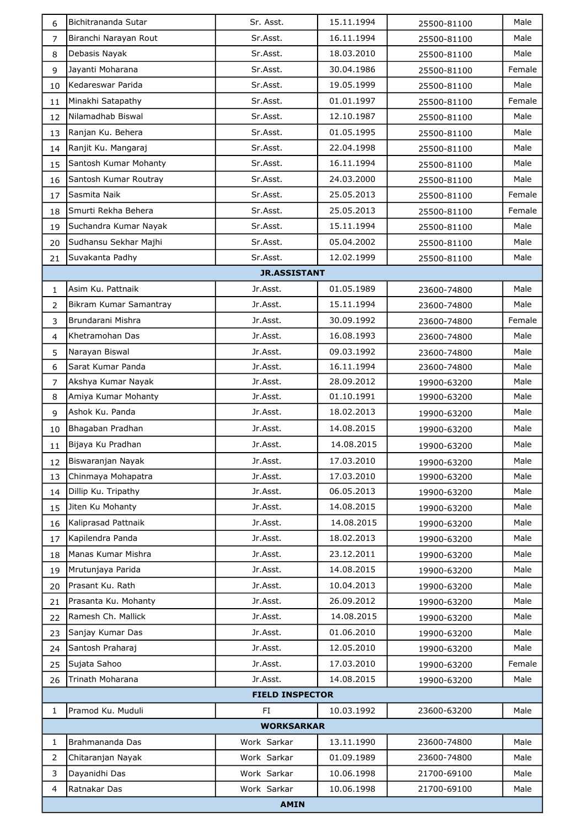| 6                | Bichitrananda Sutar    | Sr. Asst.              | 15.11.1994 | 25500-81100 | Male   |
|------------------|------------------------|------------------------|------------|-------------|--------|
| $\overline{7}$   | Biranchi Narayan Rout  | Sr.Asst.               | 16.11.1994 | 25500-81100 | Male   |
| 8                | Debasis Nayak          | Sr.Asst.               | 18.03.2010 | 25500-81100 | Male   |
| 9                | Jayanti Moharana       | Sr.Asst.               | 30.04.1986 | 25500-81100 | Female |
| 10               | Kedareswar Parida      | Sr.Asst.               | 19.05.1999 | 25500-81100 | Male   |
| 11               | Minakhi Satapathy      | Sr.Asst.               | 01.01.1997 | 25500-81100 | Female |
| 12               | Nilamadhab Biswal      | Sr.Asst.               | 12.10.1987 | 25500-81100 | Male   |
| 13               | Ranjan Ku. Behera      | Sr.Asst.               | 01.05.1995 | 25500-81100 | Male   |
| 14               | Ranjit Ku. Mangaraj    | Sr.Asst.               | 22.04.1998 | 25500-81100 | Male   |
| 15               | Santosh Kumar Mohanty  | Sr.Asst.               | 16.11.1994 | 25500-81100 | Male   |
| 16               | Santosh Kumar Routray  | Sr.Asst.               | 24.03.2000 | 25500-81100 | Male   |
| 17               | Sasmita Naik           | Sr.Asst.               | 25.05.2013 | 25500-81100 | Female |
| 18               | Smurti Rekha Behera    | Sr.Asst.               | 25.05.2013 | 25500-81100 | Female |
| 19               | Suchandra Kumar Nayak  | Sr.Asst.               | 15.11.1994 | 25500-81100 | Male   |
| 20               | Sudhansu Sekhar Majhi  | Sr.Asst.               | 05.04.2002 | 25500-81100 | Male   |
| 21               | Suvakanta Padhy        | Sr.Asst.               | 12.02.1999 | 25500-81100 | Male   |
|                  |                        | <b>JR.ASSISTANT</b>    |            |             |        |
| $\mathbf{1}$     | lAsim Ku. Pattnaik     | Jr.Asst.               | 01.05.1989 | 23600-74800 | Male   |
| $\overline{2}$   | Bikram Kumar Samantray | Jr.Asst.               | 15.11.1994 | 23600-74800 | Male   |
| 3                | Brundarani Mishra      | Jr.Asst.               | 30.09.1992 | 23600-74800 | Female |
| $\overline{4}$   | Khetramohan Das        | Jr.Asst.               | 16.08.1993 | 23600-74800 | Male   |
| 5                | Narayan Biswal         | Jr.Asst.               | 09.03.1992 | 23600-74800 | Male   |
| $\boldsymbol{6}$ | Sarat Kumar Panda      | Jr.Asst.               | 16.11.1994 | 23600-74800 | Male   |
| $\overline{7}$   | Akshya Kumar Nayak     | Jr. Asst.              | 28.09.2012 | 19900-63200 | Male   |
| 8                | Amiya Kumar Mohanty    | Jr.Asst.               | 01.10.1991 | 19900-63200 | Male   |
| 9                | Ashok Ku. Panda        | Jr.Asst.               | 18.02.2013 | 19900-63200 | Male   |
| 10               | Bhagaban Pradhan       | Jr.Asst.               | 14.08.2015 | 19900-63200 | Male   |
| 11               | Bijaya Ku Pradhan      | Jr.Asst.               | 14.08.2015 | 19900-63200 | Male   |
| 12               | Biswaranjan Nayak      | Jr.Asst.               | 17.03.2010 | 19900-63200 | Male   |
| 13               | Chinmaya Mohapatra     | Jr.Asst.               | 17.03.2010 | 19900-63200 | Male   |
| 14               | Dillip Ku. Tripathy    | Jr.Asst.               | 06.05.2013 | 19900-63200 | Male   |
| 15               | Jiten Ku Mohanty       | Jr.Asst.               | 14.08.2015 | 19900-63200 | Male   |
| 16               | Kaliprasad Pattnaik    | Jr.Asst.               | 14.08.2015 | 19900-63200 | Male   |
| 17               | Kapilendra Panda       | Jr.Asst.               | 18.02.2013 | 19900-63200 | Male   |
| 18               | lManas Kumar Mishra    | Jr.Asst.               | 23.12.2011 | 19900-63200 | Male   |
| 19               | Mrutunjaya Parida      | Jr.Asst.               | 14.08.2015 | 19900-63200 | Male   |
| 20               | Prasant Ku. Rath       | Jr. Asst.              | 10.04.2013 | 19900-63200 | Male   |
| 21               | Prasanta Ku. Mohanty   | Jr.Asst.               | 26.09.2012 | 19900-63200 | Male   |
| 22               | Ramesh Ch. Mallick     | Jr.Asst.               | 14.08.2015 | 19900-63200 | Male   |
| 23               | Sanjay Kumar Das       | Jr.Asst.               | 01.06.2010 | 19900-63200 | Male   |
| 24               | Santosh Praharaj       | Jr.Asst.               | 12.05.2010 | 19900-63200 | Male   |
| 25               | Sujata Sahoo           | Jr.Asst.               | 17.03.2010 | 19900-63200 | Female |
| 26               | Trinath Moharana       | Jr.Asst.               | 14.08.2015 | 19900-63200 | Male   |
|                  |                        | <b>FIELD INSPECTOR</b> |            |             |        |
| $\mathbf{1}$     | Pramod Ku. Muduli      | FI                     | 10.03.1992 | 23600-63200 | Male   |
|                  |                        | <b>WORKSARKAR</b>      |            |             |        |
| 1                | Brahmananda Das        | Work Sarkar            | 13.11.1990 | 23600-74800 | Male   |
| $\overline{2}$   | Chitaranjan Nayak      | Work Sarkar            | 01.09.1989 | 23600-74800 | Male   |
| 3                | Dayanidhi Das          | Work Sarkar            | 10.06.1998 | 21700-69100 | Male   |
| 4                | Ratnakar Das           | Work Sarkar            | 10.06.1998 | 21700-69100 | Male   |
|                  |                        | <b>AMIN</b>            |            |             |        |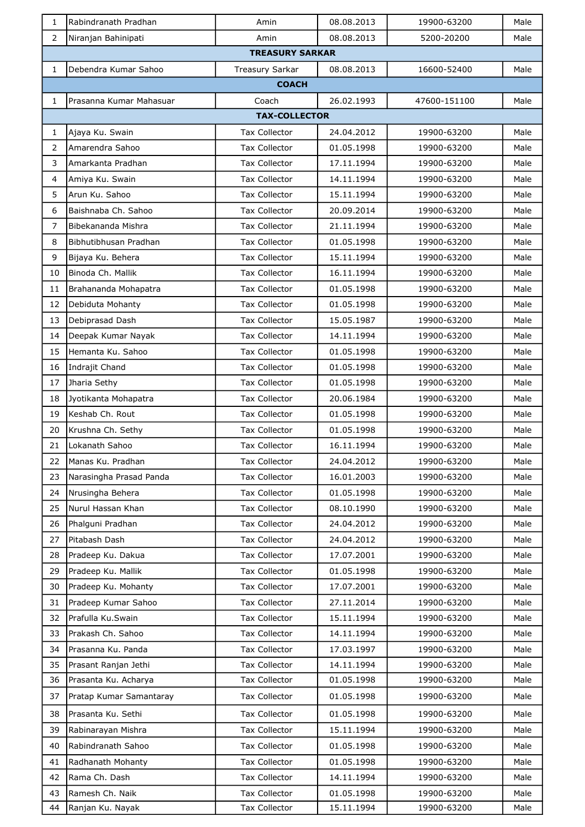| 1              | Rabindranath Pradhan    | Amin                   | 08.08.2013 | 19900-63200  | Male |
|----------------|-------------------------|------------------------|------------|--------------|------|
| $\overline{2}$ | Niranjan Bahinipati     | Amin                   | 08.08.2013 | 5200-20200   | Male |
|                |                         | <b>TREASURY SARKAR</b> |            |              |      |
| $\mathbf{1}$   | Debendra Kumar Sahoo    | Treasury Sarkar        | 08.08.2013 | 16600-52400  | Male |
|                |                         | <b>COACH</b>           |            |              |      |
| 1              | Prasanna Kumar Mahasuar | Coach                  | 26.02.1993 | 47600-151100 | Male |
|                |                         | <b>TAX-COLLECTOR</b>   |            |              |      |
| 1              | Ajaya Ku. Swain         | <b>Tax Collector</b>   | 24.04.2012 | 19900-63200  | Male |
| $\overline{2}$ | Amarendra Sahoo         | <b>Tax Collector</b>   | 01.05.1998 | 19900-63200  | Male |
| 3              | Amarkanta Pradhan       | <b>Tax Collector</b>   | 17.11.1994 | 19900-63200  | Male |
| 4              | Amiya Ku. Swain         | <b>Tax Collector</b>   | 14.11.1994 | 19900-63200  | Male |
| 5              | Arun Ku. Sahoo          | <b>Tax Collector</b>   | 15.11.1994 | 19900-63200  | Male |
| 6              | Baishnaba Ch. Sahoo     | <b>Tax Collector</b>   | 20.09.2014 | 19900-63200  | Male |
| $\overline{7}$ | Bibekananda Mishra      | <b>Tax Collector</b>   | 21.11.1994 | 19900-63200  | Male |
| 8              | Bibhutibhusan Pradhan   | <b>Tax Collector</b>   | 01.05.1998 | 19900-63200  | Male |
| 9              | Bijaya Ku. Behera       | <b>Tax Collector</b>   | 15.11.1994 | 19900-63200  | Male |
| 10             | Binoda Ch. Mallik       | <b>Tax Collector</b>   | 16.11.1994 | 19900-63200  | Male |
| 11             | Brahananda Mohapatra    | <b>Tax Collector</b>   | 01.05.1998 | 19900-63200  | Male |
| 12             | Debiduta Mohanty        | <b>Tax Collector</b>   | 01.05.1998 | 19900-63200  | Male |
| 13             | Debiprasad Dash         | <b>Tax Collector</b>   | 15.05.1987 | 19900-63200  | Male |
| 14             | Deepak Kumar Nayak      | <b>Tax Collector</b>   | 14.11.1994 | 19900-63200  | Male |
| 15             | Hemanta Ku. Sahoo       | <b>Tax Collector</b>   | 01.05.1998 | 19900-63200  | Male |
| 16             | Indrajit Chand          | <b>Tax Collector</b>   | 01.05.1998 | 19900-63200  | Male |
| 17             | Jharia Sethy            | <b>Tax Collector</b>   | 01.05.1998 | 19900-63200  | Male |
| 18             | Jyotikanta Mohapatra    | <b>Tax Collector</b>   | 20.06.1984 | 19900-63200  | Male |
| 19             | Keshab Ch. Rout         | <b>Tax Collector</b>   | 01.05.1998 | 19900-63200  | Male |
| 20             | Krushna Ch. Sethy       | <b>Tax Collector</b>   | 01.05.1998 | 19900-63200  | Male |
| 21             | Lokanath Sahoo          | <b>Tax Collector</b>   | 16.11.1994 | 19900-63200  | Male |
| 22             | Manas Ku. Pradhan       | Tax Collector          | 24.04.2012 | 19900-63200  | Male |
| 23             | Narasingha Prasad Panda | <b>Tax Collector</b>   | 16.01.2003 | 19900-63200  | Male |
| 24             | Nrusingha Behera        | Tax Collector          | 01.05.1998 | 19900-63200  | Male |
| 25             | Nurul Hassan Khan       | <b>Tax Collector</b>   | 08.10.1990 | 19900-63200  | Male |
| 26             | Phalguni Pradhan        | Tax Collector          | 24.04.2012 | 19900-63200  | Male |
| 27             | Pitabash Dash           | Tax Collector          | 24.04.2012 | 19900-63200  | Male |
| 28             | Pradeep Ku. Dakua       | <b>Tax Collector</b>   | 17.07.2001 | 19900-63200  | Male |
| 29             | Pradeep Ku. Mallik      | Tax Collector          | 01.05.1998 | 19900-63200  | Male |
| 30             | Pradeep Ku. Mohanty     | <b>Tax Collector</b>   | 17.07.2001 | 19900-63200  | Male |
| 31             | Pradeep Kumar Sahoo     | <b>Tax Collector</b>   | 27.11.2014 | 19900-63200  | Male |
| 32             | Prafulla Ku.Swain       | <b>Tax Collector</b>   | 15.11.1994 | 19900-63200  | Male |
| 33             | Prakash Ch. Sahoo       | Tax Collector          | 14.11.1994 | 19900-63200  | Male |
| 34             | Prasanna Ku. Panda      | <b>Tax Collector</b>   | 17.03.1997 | 19900-63200  | Male |
| 35             | Prasant Ranjan Jethi    | Tax Collector          | 14.11.1994 | 19900-63200  | Male |
| 36             | Prasanta Ku. Acharya    | Tax Collector          | 01.05.1998 | 19900-63200  | Male |
| 37             | Pratap Kumar Samantaray | <b>Tax Collector</b>   | 01.05.1998 | 19900-63200  | Male |
| 38             | Prasanta Ku. Sethi      | Tax Collector          | 01.05.1998 | 19900-63200  | Male |
| 39             | Rabinarayan Mishra      | <b>Tax Collector</b>   | 15.11.1994 | 19900-63200  | Male |
| 40             | Rabindranath Sahoo      | Tax Collector          | 01.05.1998 | 19900-63200  | Male |
| 41             | Radhanath Mohanty       | <b>Tax Collector</b>   | 01.05.1998 | 19900-63200  | Male |
| 42             | Rama Ch. Dash           | <b>Tax Collector</b>   | 14.11.1994 | 19900-63200  | Male |
| 43             | Ramesh Ch. Naik         | <b>Tax Collector</b>   | 01.05.1998 | 19900-63200  | Male |
| 44             | Ranjan Ku. Nayak        | Tax Collector          | 15.11.1994 | 19900-63200  | Male |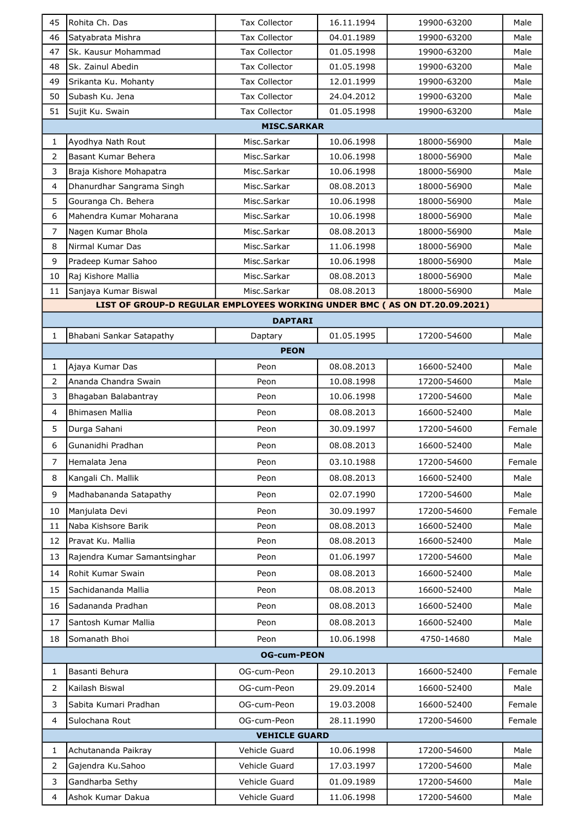| <b>Tax Collector</b><br>46<br>Satyabrata Mishra<br>04.01.1989<br>19900-63200<br>Male<br>47<br>Sk. Kausur Mohammad<br><b>Tax Collector</b><br>01.05.1998<br>19900-63200<br>Male<br>48<br>01.05.1998<br>Sk. Zainul Abedin<br><b>Tax Collector</b><br>19900-63200<br>Male<br>49<br><b>Tax Collector</b><br>12.01.1999<br>Srikanta Ku. Mohanty<br>19900-63200<br>Male<br>50<br>lSubash Ku. Jena<br><b>Tax Collector</b><br>24.04.2012<br>19900-63200<br>Male<br>51<br>Sujit Ku. Swain<br><b>Tax Collector</b><br>01.05.1998<br>19900-63200<br>Male<br><b>MISC.SARKAR</b><br>Ayodhya Nath Rout<br>Misc.Sarkar<br>10.06.1998<br>18000-56900<br>Male<br>$\mathbf{1}$<br>Basant Kumar Behera<br>2<br>Misc.Sarkar<br>10.06.1998<br>18000-56900<br>Male<br>3<br>Misc.Sarkar<br>10.06.1998<br>18000-56900<br>Braja Kishore Mohapatra<br>Male<br>$\overline{4}$<br>Dhanurdhar Sangrama Singh<br>Misc.Sarkar<br>08.08.2013<br>18000-56900<br>Male<br>5<br>Gouranga Ch. Behera<br>Misc.Sarkar<br>10.06.1998<br>18000-56900<br>Male<br>Mahendra Kumar Moharana<br>6<br>Misc.Sarkar<br>10.06.1998<br>18000-56900<br>Male<br>$\overline{7}$<br>Nagen Kumar Bhola<br>08.08.2013<br>Misc.Sarkar<br>18000-56900<br>Male<br>8<br>Nirmal Kumar Das<br>Misc.Sarkar<br>11.06.1998<br>18000-56900<br>Male<br>9<br>Pradeep Kumar Sahoo<br>10.06.1998<br>Misc.Sarkar<br>18000-56900<br>Male<br>10<br>Raj Kishore Mallia<br>08.08.2013<br>Misc.Sarkar<br>18000-56900<br>Male<br>Misc.Sarkar<br>08.08.2013<br>18000-56900<br>11<br>Sanjaya Kumar Biswal<br>Male<br>LIST OF GROUP-D REGULAR EMPLOYEES WORKING UNDER BMC (AS ON DT.20.09.2021)<br><b>DAPTARI</b><br>01.05.1995<br>$\mathbf{1}$<br>Bhabani Sankar Satapathy<br>17200-54600<br>Male<br>Daptary<br><b>PEON</b><br>08.08.2013<br>16600-52400<br>Ajaya Kumar Das<br>Peon<br>Male<br>$\mathbf{1}$<br>$\overline{2}$<br>Ananda Chandra Swain<br>Peon<br>10.08.1998<br>17200-54600<br>Male<br>3<br>Bhagaban Balabantray<br>10.06.1998<br>17200-54600<br>Peon<br>Male<br>$\overline{4}$<br>Bhimasen Mallia<br>08.08.2013<br>16600-52400<br>Peon<br>Male<br>5<br>Durga Sahani<br>30.09.1997<br>17200-54600<br>Female<br>Peon<br>6<br>Gunanidhi Pradhan<br>Peon<br>08.08.2013<br>16600-52400<br>Male<br>7<br>Female<br>Hemalata Jena<br>03.10.1988<br>17200-54600<br>Peon<br>8<br>08.08.2013<br>Kangali Ch. Mallik<br>Peon<br>16600-52400<br>Male<br>9<br>02.07.1990<br>Madhabananda Satapathy<br>Peon<br>17200-54600<br>Male<br>30.09.1997<br>Female<br>10<br>Manjulata Devi<br>Peon<br>17200-54600<br>Naba Kishsore Barik<br>08.08.2013<br>16600-52400<br>11<br>Peon<br>Male<br>Pravat Ku. Mallia<br>08.08.2013<br>12<br>Peon<br>16600-52400<br>Male<br>13<br>Rajendra Kumar Samantsinghar<br>01.06.1997<br>17200-54600<br>Male<br>Peon<br>Rohit Kumar Swain<br>08.08.2013<br>14<br>16600-52400<br>Male<br>Peon<br>15<br>Sachidananda Mallia<br>08.08.2013<br>Peon<br>16600-52400<br>Male<br>Sadananda Pradhan<br>08.08.2013<br>16<br>16600-52400<br>Male<br>Peon<br>17<br>Santosh Kumar Mallia<br>Peon<br>08.08.2013<br>16600-52400<br>Male<br>10.06.1998<br>18<br>Somanath Bhoi<br>Peon<br>4750-14680<br>Male |  |  |  |  |  |  |
|-----------------------------------------------------------------------------------------------------------------------------------------------------------------------------------------------------------------------------------------------------------------------------------------------------------------------------------------------------------------------------------------------------------------------------------------------------------------------------------------------------------------------------------------------------------------------------------------------------------------------------------------------------------------------------------------------------------------------------------------------------------------------------------------------------------------------------------------------------------------------------------------------------------------------------------------------------------------------------------------------------------------------------------------------------------------------------------------------------------------------------------------------------------------------------------------------------------------------------------------------------------------------------------------------------------------------------------------------------------------------------------------------------------------------------------------------------------------------------------------------------------------------------------------------------------------------------------------------------------------------------------------------------------------------------------------------------------------------------------------------------------------------------------------------------------------------------------------------------------------------------------------------------------------------------------------------------------------------------------------------------------------------------------------------------------------------------------------------------------------------------------------------------------------------------------------------------------------------------------------------------------------------------------------------------------------------------------------------------------------------------------------------------------------------------------------------------------------------------------------------------------------------------------------------------------------------------------------------------------------------------------------------------------------------------------------------------------------------------------------------------------------------------------------------------------------------------------------------------------------------------------------------------------------------------------------------------------------------------------------------------------------------------------------------------------------------------------------------------------------------------------------|--|--|--|--|--|--|
|                                                                                                                                                                                                                                                                                                                                                                                                                                                                                                                                                                                                                                                                                                                                                                                                                                                                                                                                                                                                                                                                                                                                                                                                                                                                                                                                                                                                                                                                                                                                                                                                                                                                                                                                                                                                                                                                                                                                                                                                                                                                                                                                                                                                                                                                                                                                                                                                                                                                                                                                                                                                                                                                                                                                                                                                                                                                                                                                                                                                                                                                                                                                         |  |  |  |  |  |  |
|                                                                                                                                                                                                                                                                                                                                                                                                                                                                                                                                                                                                                                                                                                                                                                                                                                                                                                                                                                                                                                                                                                                                                                                                                                                                                                                                                                                                                                                                                                                                                                                                                                                                                                                                                                                                                                                                                                                                                                                                                                                                                                                                                                                                                                                                                                                                                                                                                                                                                                                                                                                                                                                                                                                                                                                                                                                                                                                                                                                                                                                                                                                                         |  |  |  |  |  |  |
|                                                                                                                                                                                                                                                                                                                                                                                                                                                                                                                                                                                                                                                                                                                                                                                                                                                                                                                                                                                                                                                                                                                                                                                                                                                                                                                                                                                                                                                                                                                                                                                                                                                                                                                                                                                                                                                                                                                                                                                                                                                                                                                                                                                                                                                                                                                                                                                                                                                                                                                                                                                                                                                                                                                                                                                                                                                                                                                                                                                                                                                                                                                                         |  |  |  |  |  |  |
|                                                                                                                                                                                                                                                                                                                                                                                                                                                                                                                                                                                                                                                                                                                                                                                                                                                                                                                                                                                                                                                                                                                                                                                                                                                                                                                                                                                                                                                                                                                                                                                                                                                                                                                                                                                                                                                                                                                                                                                                                                                                                                                                                                                                                                                                                                                                                                                                                                                                                                                                                                                                                                                                                                                                                                                                                                                                                                                                                                                                                                                                                                                                         |  |  |  |  |  |  |
|                                                                                                                                                                                                                                                                                                                                                                                                                                                                                                                                                                                                                                                                                                                                                                                                                                                                                                                                                                                                                                                                                                                                                                                                                                                                                                                                                                                                                                                                                                                                                                                                                                                                                                                                                                                                                                                                                                                                                                                                                                                                                                                                                                                                                                                                                                                                                                                                                                                                                                                                                                                                                                                                                                                                                                                                                                                                                                                                                                                                                                                                                                                                         |  |  |  |  |  |  |
|                                                                                                                                                                                                                                                                                                                                                                                                                                                                                                                                                                                                                                                                                                                                                                                                                                                                                                                                                                                                                                                                                                                                                                                                                                                                                                                                                                                                                                                                                                                                                                                                                                                                                                                                                                                                                                                                                                                                                                                                                                                                                                                                                                                                                                                                                                                                                                                                                                                                                                                                                                                                                                                                                                                                                                                                                                                                                                                                                                                                                                                                                                                                         |  |  |  |  |  |  |
|                                                                                                                                                                                                                                                                                                                                                                                                                                                                                                                                                                                                                                                                                                                                                                                                                                                                                                                                                                                                                                                                                                                                                                                                                                                                                                                                                                                                                                                                                                                                                                                                                                                                                                                                                                                                                                                                                                                                                                                                                                                                                                                                                                                                                                                                                                                                                                                                                                                                                                                                                                                                                                                                                                                                                                                                                                                                                                                                                                                                                                                                                                                                         |  |  |  |  |  |  |
|                                                                                                                                                                                                                                                                                                                                                                                                                                                                                                                                                                                                                                                                                                                                                                                                                                                                                                                                                                                                                                                                                                                                                                                                                                                                                                                                                                                                                                                                                                                                                                                                                                                                                                                                                                                                                                                                                                                                                                                                                                                                                                                                                                                                                                                                                                                                                                                                                                                                                                                                                                                                                                                                                                                                                                                                                                                                                                                                                                                                                                                                                                                                         |  |  |  |  |  |  |
|                                                                                                                                                                                                                                                                                                                                                                                                                                                                                                                                                                                                                                                                                                                                                                                                                                                                                                                                                                                                                                                                                                                                                                                                                                                                                                                                                                                                                                                                                                                                                                                                                                                                                                                                                                                                                                                                                                                                                                                                                                                                                                                                                                                                                                                                                                                                                                                                                                                                                                                                                                                                                                                                                                                                                                                                                                                                                                                                                                                                                                                                                                                                         |  |  |  |  |  |  |
|                                                                                                                                                                                                                                                                                                                                                                                                                                                                                                                                                                                                                                                                                                                                                                                                                                                                                                                                                                                                                                                                                                                                                                                                                                                                                                                                                                                                                                                                                                                                                                                                                                                                                                                                                                                                                                                                                                                                                                                                                                                                                                                                                                                                                                                                                                                                                                                                                                                                                                                                                                                                                                                                                                                                                                                                                                                                                                                                                                                                                                                                                                                                         |  |  |  |  |  |  |
|                                                                                                                                                                                                                                                                                                                                                                                                                                                                                                                                                                                                                                                                                                                                                                                                                                                                                                                                                                                                                                                                                                                                                                                                                                                                                                                                                                                                                                                                                                                                                                                                                                                                                                                                                                                                                                                                                                                                                                                                                                                                                                                                                                                                                                                                                                                                                                                                                                                                                                                                                                                                                                                                                                                                                                                                                                                                                                                                                                                                                                                                                                                                         |  |  |  |  |  |  |
|                                                                                                                                                                                                                                                                                                                                                                                                                                                                                                                                                                                                                                                                                                                                                                                                                                                                                                                                                                                                                                                                                                                                                                                                                                                                                                                                                                                                                                                                                                                                                                                                                                                                                                                                                                                                                                                                                                                                                                                                                                                                                                                                                                                                                                                                                                                                                                                                                                                                                                                                                                                                                                                                                                                                                                                                                                                                                                                                                                                                                                                                                                                                         |  |  |  |  |  |  |
|                                                                                                                                                                                                                                                                                                                                                                                                                                                                                                                                                                                                                                                                                                                                                                                                                                                                                                                                                                                                                                                                                                                                                                                                                                                                                                                                                                                                                                                                                                                                                                                                                                                                                                                                                                                                                                                                                                                                                                                                                                                                                                                                                                                                                                                                                                                                                                                                                                                                                                                                                                                                                                                                                                                                                                                                                                                                                                                                                                                                                                                                                                                                         |  |  |  |  |  |  |
|                                                                                                                                                                                                                                                                                                                                                                                                                                                                                                                                                                                                                                                                                                                                                                                                                                                                                                                                                                                                                                                                                                                                                                                                                                                                                                                                                                                                                                                                                                                                                                                                                                                                                                                                                                                                                                                                                                                                                                                                                                                                                                                                                                                                                                                                                                                                                                                                                                                                                                                                                                                                                                                                                                                                                                                                                                                                                                                                                                                                                                                                                                                                         |  |  |  |  |  |  |
|                                                                                                                                                                                                                                                                                                                                                                                                                                                                                                                                                                                                                                                                                                                                                                                                                                                                                                                                                                                                                                                                                                                                                                                                                                                                                                                                                                                                                                                                                                                                                                                                                                                                                                                                                                                                                                                                                                                                                                                                                                                                                                                                                                                                                                                                                                                                                                                                                                                                                                                                                                                                                                                                                                                                                                                                                                                                                                                                                                                                                                                                                                                                         |  |  |  |  |  |  |
|                                                                                                                                                                                                                                                                                                                                                                                                                                                                                                                                                                                                                                                                                                                                                                                                                                                                                                                                                                                                                                                                                                                                                                                                                                                                                                                                                                                                                                                                                                                                                                                                                                                                                                                                                                                                                                                                                                                                                                                                                                                                                                                                                                                                                                                                                                                                                                                                                                                                                                                                                                                                                                                                                                                                                                                                                                                                                                                                                                                                                                                                                                                                         |  |  |  |  |  |  |
|                                                                                                                                                                                                                                                                                                                                                                                                                                                                                                                                                                                                                                                                                                                                                                                                                                                                                                                                                                                                                                                                                                                                                                                                                                                                                                                                                                                                                                                                                                                                                                                                                                                                                                                                                                                                                                                                                                                                                                                                                                                                                                                                                                                                                                                                                                                                                                                                                                                                                                                                                                                                                                                                                                                                                                                                                                                                                                                                                                                                                                                                                                                                         |  |  |  |  |  |  |
|                                                                                                                                                                                                                                                                                                                                                                                                                                                                                                                                                                                                                                                                                                                                                                                                                                                                                                                                                                                                                                                                                                                                                                                                                                                                                                                                                                                                                                                                                                                                                                                                                                                                                                                                                                                                                                                                                                                                                                                                                                                                                                                                                                                                                                                                                                                                                                                                                                                                                                                                                                                                                                                                                                                                                                                                                                                                                                                                                                                                                                                                                                                                         |  |  |  |  |  |  |
|                                                                                                                                                                                                                                                                                                                                                                                                                                                                                                                                                                                                                                                                                                                                                                                                                                                                                                                                                                                                                                                                                                                                                                                                                                                                                                                                                                                                                                                                                                                                                                                                                                                                                                                                                                                                                                                                                                                                                                                                                                                                                                                                                                                                                                                                                                                                                                                                                                                                                                                                                                                                                                                                                                                                                                                                                                                                                                                                                                                                                                                                                                                                         |  |  |  |  |  |  |
|                                                                                                                                                                                                                                                                                                                                                                                                                                                                                                                                                                                                                                                                                                                                                                                                                                                                                                                                                                                                                                                                                                                                                                                                                                                                                                                                                                                                                                                                                                                                                                                                                                                                                                                                                                                                                                                                                                                                                                                                                                                                                                                                                                                                                                                                                                                                                                                                                                                                                                                                                                                                                                                                                                                                                                                                                                                                                                                                                                                                                                                                                                                                         |  |  |  |  |  |  |
|                                                                                                                                                                                                                                                                                                                                                                                                                                                                                                                                                                                                                                                                                                                                                                                                                                                                                                                                                                                                                                                                                                                                                                                                                                                                                                                                                                                                                                                                                                                                                                                                                                                                                                                                                                                                                                                                                                                                                                                                                                                                                                                                                                                                                                                                                                                                                                                                                                                                                                                                                                                                                                                                                                                                                                                                                                                                                                                                                                                                                                                                                                                                         |  |  |  |  |  |  |
|                                                                                                                                                                                                                                                                                                                                                                                                                                                                                                                                                                                                                                                                                                                                                                                                                                                                                                                                                                                                                                                                                                                                                                                                                                                                                                                                                                                                                                                                                                                                                                                                                                                                                                                                                                                                                                                                                                                                                                                                                                                                                                                                                                                                                                                                                                                                                                                                                                                                                                                                                                                                                                                                                                                                                                                                                                                                                                                                                                                                                                                                                                                                         |  |  |  |  |  |  |
|                                                                                                                                                                                                                                                                                                                                                                                                                                                                                                                                                                                                                                                                                                                                                                                                                                                                                                                                                                                                                                                                                                                                                                                                                                                                                                                                                                                                                                                                                                                                                                                                                                                                                                                                                                                                                                                                                                                                                                                                                                                                                                                                                                                                                                                                                                                                                                                                                                                                                                                                                                                                                                                                                                                                                                                                                                                                                                                                                                                                                                                                                                                                         |  |  |  |  |  |  |
|                                                                                                                                                                                                                                                                                                                                                                                                                                                                                                                                                                                                                                                                                                                                                                                                                                                                                                                                                                                                                                                                                                                                                                                                                                                                                                                                                                                                                                                                                                                                                                                                                                                                                                                                                                                                                                                                                                                                                                                                                                                                                                                                                                                                                                                                                                                                                                                                                                                                                                                                                                                                                                                                                                                                                                                                                                                                                                                                                                                                                                                                                                                                         |  |  |  |  |  |  |
|                                                                                                                                                                                                                                                                                                                                                                                                                                                                                                                                                                                                                                                                                                                                                                                                                                                                                                                                                                                                                                                                                                                                                                                                                                                                                                                                                                                                                                                                                                                                                                                                                                                                                                                                                                                                                                                                                                                                                                                                                                                                                                                                                                                                                                                                                                                                                                                                                                                                                                                                                                                                                                                                                                                                                                                                                                                                                                                                                                                                                                                                                                                                         |  |  |  |  |  |  |
|                                                                                                                                                                                                                                                                                                                                                                                                                                                                                                                                                                                                                                                                                                                                                                                                                                                                                                                                                                                                                                                                                                                                                                                                                                                                                                                                                                                                                                                                                                                                                                                                                                                                                                                                                                                                                                                                                                                                                                                                                                                                                                                                                                                                                                                                                                                                                                                                                                                                                                                                                                                                                                                                                                                                                                                                                                                                                                                                                                                                                                                                                                                                         |  |  |  |  |  |  |
|                                                                                                                                                                                                                                                                                                                                                                                                                                                                                                                                                                                                                                                                                                                                                                                                                                                                                                                                                                                                                                                                                                                                                                                                                                                                                                                                                                                                                                                                                                                                                                                                                                                                                                                                                                                                                                                                                                                                                                                                                                                                                                                                                                                                                                                                                                                                                                                                                                                                                                                                                                                                                                                                                                                                                                                                                                                                                                                                                                                                                                                                                                                                         |  |  |  |  |  |  |
|                                                                                                                                                                                                                                                                                                                                                                                                                                                                                                                                                                                                                                                                                                                                                                                                                                                                                                                                                                                                                                                                                                                                                                                                                                                                                                                                                                                                                                                                                                                                                                                                                                                                                                                                                                                                                                                                                                                                                                                                                                                                                                                                                                                                                                                                                                                                                                                                                                                                                                                                                                                                                                                                                                                                                                                                                                                                                                                                                                                                                                                                                                                                         |  |  |  |  |  |  |
|                                                                                                                                                                                                                                                                                                                                                                                                                                                                                                                                                                                                                                                                                                                                                                                                                                                                                                                                                                                                                                                                                                                                                                                                                                                                                                                                                                                                                                                                                                                                                                                                                                                                                                                                                                                                                                                                                                                                                                                                                                                                                                                                                                                                                                                                                                                                                                                                                                                                                                                                                                                                                                                                                                                                                                                                                                                                                                                                                                                                                                                                                                                                         |  |  |  |  |  |  |
|                                                                                                                                                                                                                                                                                                                                                                                                                                                                                                                                                                                                                                                                                                                                                                                                                                                                                                                                                                                                                                                                                                                                                                                                                                                                                                                                                                                                                                                                                                                                                                                                                                                                                                                                                                                                                                                                                                                                                                                                                                                                                                                                                                                                                                                                                                                                                                                                                                                                                                                                                                                                                                                                                                                                                                                                                                                                                                                                                                                                                                                                                                                                         |  |  |  |  |  |  |
|                                                                                                                                                                                                                                                                                                                                                                                                                                                                                                                                                                                                                                                                                                                                                                                                                                                                                                                                                                                                                                                                                                                                                                                                                                                                                                                                                                                                                                                                                                                                                                                                                                                                                                                                                                                                                                                                                                                                                                                                                                                                                                                                                                                                                                                                                                                                                                                                                                                                                                                                                                                                                                                                                                                                                                                                                                                                                                                                                                                                                                                                                                                                         |  |  |  |  |  |  |
|                                                                                                                                                                                                                                                                                                                                                                                                                                                                                                                                                                                                                                                                                                                                                                                                                                                                                                                                                                                                                                                                                                                                                                                                                                                                                                                                                                                                                                                                                                                                                                                                                                                                                                                                                                                                                                                                                                                                                                                                                                                                                                                                                                                                                                                                                                                                                                                                                                                                                                                                                                                                                                                                                                                                                                                                                                                                                                                                                                                                                                                                                                                                         |  |  |  |  |  |  |
|                                                                                                                                                                                                                                                                                                                                                                                                                                                                                                                                                                                                                                                                                                                                                                                                                                                                                                                                                                                                                                                                                                                                                                                                                                                                                                                                                                                                                                                                                                                                                                                                                                                                                                                                                                                                                                                                                                                                                                                                                                                                                                                                                                                                                                                                                                                                                                                                                                                                                                                                                                                                                                                                                                                                                                                                                                                                                                                                                                                                                                                                                                                                         |  |  |  |  |  |  |
|                                                                                                                                                                                                                                                                                                                                                                                                                                                                                                                                                                                                                                                                                                                                                                                                                                                                                                                                                                                                                                                                                                                                                                                                                                                                                                                                                                                                                                                                                                                                                                                                                                                                                                                                                                                                                                                                                                                                                                                                                                                                                                                                                                                                                                                                                                                                                                                                                                                                                                                                                                                                                                                                                                                                                                                                                                                                                                                                                                                                                                                                                                                                         |  |  |  |  |  |  |
|                                                                                                                                                                                                                                                                                                                                                                                                                                                                                                                                                                                                                                                                                                                                                                                                                                                                                                                                                                                                                                                                                                                                                                                                                                                                                                                                                                                                                                                                                                                                                                                                                                                                                                                                                                                                                                                                                                                                                                                                                                                                                                                                                                                                                                                                                                                                                                                                                                                                                                                                                                                                                                                                                                                                                                                                                                                                                                                                                                                                                                                                                                                                         |  |  |  |  |  |  |
|                                                                                                                                                                                                                                                                                                                                                                                                                                                                                                                                                                                                                                                                                                                                                                                                                                                                                                                                                                                                                                                                                                                                                                                                                                                                                                                                                                                                                                                                                                                                                                                                                                                                                                                                                                                                                                                                                                                                                                                                                                                                                                                                                                                                                                                                                                                                                                                                                                                                                                                                                                                                                                                                                                                                                                                                                                                                                                                                                                                                                                                                                                                                         |  |  |  |  |  |  |
|                                                                                                                                                                                                                                                                                                                                                                                                                                                                                                                                                                                                                                                                                                                                                                                                                                                                                                                                                                                                                                                                                                                                                                                                                                                                                                                                                                                                                                                                                                                                                                                                                                                                                                                                                                                                                                                                                                                                                                                                                                                                                                                                                                                                                                                                                                                                                                                                                                                                                                                                                                                                                                                                                                                                                                                                                                                                                                                                                                                                                                                                                                                                         |  |  |  |  |  |  |
|                                                                                                                                                                                                                                                                                                                                                                                                                                                                                                                                                                                                                                                                                                                                                                                                                                                                                                                                                                                                                                                                                                                                                                                                                                                                                                                                                                                                                                                                                                                                                                                                                                                                                                                                                                                                                                                                                                                                                                                                                                                                                                                                                                                                                                                                                                                                                                                                                                                                                                                                                                                                                                                                                                                                                                                                                                                                                                                                                                                                                                                                                                                                         |  |  |  |  |  |  |
|                                                                                                                                                                                                                                                                                                                                                                                                                                                                                                                                                                                                                                                                                                                                                                                                                                                                                                                                                                                                                                                                                                                                                                                                                                                                                                                                                                                                                                                                                                                                                                                                                                                                                                                                                                                                                                                                                                                                                                                                                                                                                                                                                                                                                                                                                                                                                                                                                                                                                                                                                                                                                                                                                                                                                                                                                                                                                                                                                                                                                                                                                                                                         |  |  |  |  |  |  |
|                                                                                                                                                                                                                                                                                                                                                                                                                                                                                                                                                                                                                                                                                                                                                                                                                                                                                                                                                                                                                                                                                                                                                                                                                                                                                                                                                                                                                                                                                                                                                                                                                                                                                                                                                                                                                                                                                                                                                                                                                                                                                                                                                                                                                                                                                                                                                                                                                                                                                                                                                                                                                                                                                                                                                                                                                                                                                                                                                                                                                                                                                                                                         |  |  |  |  |  |  |
|                                                                                                                                                                                                                                                                                                                                                                                                                                                                                                                                                                                                                                                                                                                                                                                                                                                                                                                                                                                                                                                                                                                                                                                                                                                                                                                                                                                                                                                                                                                                                                                                                                                                                                                                                                                                                                                                                                                                                                                                                                                                                                                                                                                                                                                                                                                                                                                                                                                                                                                                                                                                                                                                                                                                                                                                                                                                                                                                                                                                                                                                                                                                         |  |  |  |  |  |  |
| <b>OG-cum-PEON</b>                                                                                                                                                                                                                                                                                                                                                                                                                                                                                                                                                                                                                                                                                                                                                                                                                                                                                                                                                                                                                                                                                                                                                                                                                                                                                                                                                                                                                                                                                                                                                                                                                                                                                                                                                                                                                                                                                                                                                                                                                                                                                                                                                                                                                                                                                                                                                                                                                                                                                                                                                                                                                                                                                                                                                                                                                                                                                                                                                                                                                                                                                                                      |  |  |  |  |  |  |
| Basanti Behura<br>OG-cum-Peon<br>29.10.2013<br>16600-52400<br>Female<br>$\mathbf{1}$                                                                                                                                                                                                                                                                                                                                                                                                                                                                                                                                                                                                                                                                                                                                                                                                                                                                                                                                                                                                                                                                                                                                                                                                                                                                                                                                                                                                                                                                                                                                                                                                                                                                                                                                                                                                                                                                                                                                                                                                                                                                                                                                                                                                                                                                                                                                                                                                                                                                                                                                                                                                                                                                                                                                                                                                                                                                                                                                                                                                                                                    |  |  |  |  |  |  |
| Kailash Biswal<br>29.09.2014<br>$\overline{2}$<br>OG-cum-Peon<br>16600-52400<br>Male                                                                                                                                                                                                                                                                                                                                                                                                                                                                                                                                                                                                                                                                                                                                                                                                                                                                                                                                                                                                                                                                                                                                                                                                                                                                                                                                                                                                                                                                                                                                                                                                                                                                                                                                                                                                                                                                                                                                                                                                                                                                                                                                                                                                                                                                                                                                                                                                                                                                                                                                                                                                                                                                                                                                                                                                                                                                                                                                                                                                                                                    |  |  |  |  |  |  |
| 3<br>Sabita Kumari Pradhan<br>OG-cum-Peon<br>19.03.2008<br>16600-52400<br>Female                                                                                                                                                                                                                                                                                                                                                                                                                                                                                                                                                                                                                                                                                                                                                                                                                                                                                                                                                                                                                                                                                                                                                                                                                                                                                                                                                                                                                                                                                                                                                                                                                                                                                                                                                                                                                                                                                                                                                                                                                                                                                                                                                                                                                                                                                                                                                                                                                                                                                                                                                                                                                                                                                                                                                                                                                                                                                                                                                                                                                                                        |  |  |  |  |  |  |
| Sulochana Rout<br>OG-cum-Peon<br>28.11.1990<br>4<br>17200-54600<br>Female                                                                                                                                                                                                                                                                                                                                                                                                                                                                                                                                                                                                                                                                                                                                                                                                                                                                                                                                                                                                                                                                                                                                                                                                                                                                                                                                                                                                                                                                                                                                                                                                                                                                                                                                                                                                                                                                                                                                                                                                                                                                                                                                                                                                                                                                                                                                                                                                                                                                                                                                                                                                                                                                                                                                                                                                                                                                                                                                                                                                                                                               |  |  |  |  |  |  |
| <b>VEHICLE GUARD</b>                                                                                                                                                                                                                                                                                                                                                                                                                                                                                                                                                                                                                                                                                                                                                                                                                                                                                                                                                                                                                                                                                                                                                                                                                                                                                                                                                                                                                                                                                                                                                                                                                                                                                                                                                                                                                                                                                                                                                                                                                                                                                                                                                                                                                                                                                                                                                                                                                                                                                                                                                                                                                                                                                                                                                                                                                                                                                                                                                                                                                                                                                                                    |  |  |  |  |  |  |
| Achutananda Paikray<br>Vehicle Guard<br>10.06.1998<br>17200-54600<br>Male<br>$\mathbf{1}$                                                                                                                                                                                                                                                                                                                                                                                                                                                                                                                                                                                                                                                                                                                                                                                                                                                                                                                                                                                                                                                                                                                                                                                                                                                                                                                                                                                                                                                                                                                                                                                                                                                                                                                                                                                                                                                                                                                                                                                                                                                                                                                                                                                                                                                                                                                                                                                                                                                                                                                                                                                                                                                                                                                                                                                                                                                                                                                                                                                                                                               |  |  |  |  |  |  |
| Gajendra Ku.Sahoo<br>Vehicle Guard<br>17.03.1997<br>17200-54600<br>2<br>Male                                                                                                                                                                                                                                                                                                                                                                                                                                                                                                                                                                                                                                                                                                                                                                                                                                                                                                                                                                                                                                                                                                                                                                                                                                                                                                                                                                                                                                                                                                                                                                                                                                                                                                                                                                                                                                                                                                                                                                                                                                                                                                                                                                                                                                                                                                                                                                                                                                                                                                                                                                                                                                                                                                                                                                                                                                                                                                                                                                                                                                                            |  |  |  |  |  |  |
| 3<br>Gandharba Sethy<br>Vehicle Guard<br>01.09.1989<br>17200-54600<br>Male                                                                                                                                                                                                                                                                                                                                                                                                                                                                                                                                                                                                                                                                                                                                                                                                                                                                                                                                                                                                                                                                                                                                                                                                                                                                                                                                                                                                                                                                                                                                                                                                                                                                                                                                                                                                                                                                                                                                                                                                                                                                                                                                                                                                                                                                                                                                                                                                                                                                                                                                                                                                                                                                                                                                                                                                                                                                                                                                                                                                                                                              |  |  |  |  |  |  |
| 4<br>Ashok Kumar Dakua<br>Vehicle Guard<br>11.06.1998<br>17200-54600<br>Male                                                                                                                                                                                                                                                                                                                                                                                                                                                                                                                                                                                                                                                                                                                                                                                                                                                                                                                                                                                                                                                                                                                                                                                                                                                                                                                                                                                                                                                                                                                                                                                                                                                                                                                                                                                                                                                                                                                                                                                                                                                                                                                                                                                                                                                                                                                                                                                                                                                                                                                                                                                                                                                                                                                                                                                                                                                                                                                                                                                                                                                            |  |  |  |  |  |  |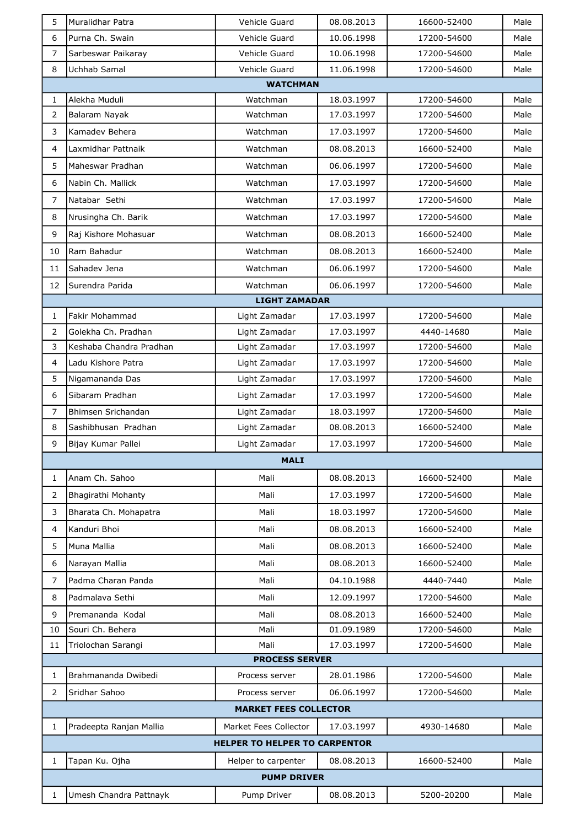| 5               | Muralidhar Patra        | Vehicle Guard                        | 08.08.2013 | 16600-52400 | Male |  |  |
|-----------------|-------------------------|--------------------------------------|------------|-------------|------|--|--|
| 6               | Purna Ch. Swain         | Vehicle Guard                        | 10.06.1998 | 17200-54600 | Male |  |  |
| $\overline{7}$  | Sarbeswar Paikaray      | Vehicle Guard                        | 10.06.1998 | 17200-54600 | Male |  |  |
| 8               | Uchhab Samal            | Vehicle Guard                        | 11.06.1998 | 17200-54600 | Male |  |  |
| <b>WATCHMAN</b> |                         |                                      |            |             |      |  |  |
| $\mathbf{1}$    | lAlekha Muduli          | Watchman                             | 18.03.1997 | 17200-54600 | Male |  |  |
| 2               | Balaram Nayak           | Watchman                             | 17.03.1997 | 17200-54600 | Male |  |  |
| 3               | Kamadev Behera          | Watchman                             | 17.03.1997 | 17200-54600 | Male |  |  |
| 4               | Laxmidhar Pattnaik      | Watchman                             | 08.08.2013 | 16600-52400 | Male |  |  |
| 5               | Maheswar Pradhan        | Watchman                             | 06.06.1997 | 17200-54600 | Male |  |  |
| 6               | Nabin Ch. Mallick       | Watchman                             | 17.03.1997 | 17200-54600 | Male |  |  |
| $\overline{7}$  | Natabar Sethi           | Watchman                             | 17.03.1997 | 17200-54600 | Male |  |  |
| 8               | Nrusingha Ch. Barik     | Watchman                             | 17.03.1997 | 17200-54600 | Male |  |  |
| 9               | Raj Kishore Mohasuar    | Watchman                             | 08.08.2013 | 16600-52400 | Male |  |  |
| 10              | Ram Bahadur             | Watchman                             | 08.08.2013 | 16600-52400 | Male |  |  |
| 11              | Sahadev Jena            | Watchman                             | 06.06.1997 | 17200-54600 | Male |  |  |
| 12              | Surendra Parida         | Watchman                             | 06.06.1997 | 17200-54600 | Male |  |  |
|                 |                         | <b>LIGHT ZAMADAR</b>                 |            |             |      |  |  |
| $\mathbf{1}$    | Fakir Mohammad          | Light Zamadar                        | 17.03.1997 | 17200-54600 | Male |  |  |
| $\overline{2}$  | Golekha Ch. Pradhan     | Light Zamadar                        | 17.03.1997 | 4440-14680  | Male |  |  |
| 3               | Keshaba Chandra Pradhan | Light Zamadar                        | 17.03.1997 | 17200-54600 | Male |  |  |
| $\overline{4}$  | Ladu Kishore Patra      | Light Zamadar                        | 17.03.1997 | 17200-54600 | Male |  |  |
| 5               | Nigamananda Das         | Light Zamadar                        | 17.03.1997 | 17200-54600 | Male |  |  |
| 6               | Sibaram Pradhan         | Light Zamadar                        | 17.03.1997 | 17200-54600 | Male |  |  |
| $\overline{7}$  | Bhimsen Srichandan      | Light Zamadar                        | 18.03.1997 | 17200-54600 | Male |  |  |
| 8               | Sashibhusan Pradhan     | Light Zamadar                        | 08.08.2013 | 16600-52400 | Male |  |  |
| 9               | Bijay Kumar Pallei      | Light Zamadar                        | 17.03.1997 | 17200-54600 | Male |  |  |
|                 |                         | <b>MALI</b>                          |            |             |      |  |  |
| $\mathbf{1}$    | Anam Ch. Sahoo          | Mali                                 | 08.08.2013 | 16600-52400 | Male |  |  |
| 2               | Bhagirathi Mohanty      | Mali                                 | 17.03.1997 | 17200-54600 | Male |  |  |
| 3               | Bharata Ch. Mohapatra   | Mali                                 | 18.03.1997 | 17200-54600 | Male |  |  |
| 4               | Kanduri Bhoi            | Mali                                 | 08.08.2013 | 16600-52400 | Male |  |  |
| 5               | Muna Mallia             | Mali                                 | 08.08.2013 | 16600-52400 | Male |  |  |
| 6               | Narayan Mallia          | Mali                                 | 08.08.2013 | 16600-52400 | Male |  |  |
| 7               | Padma Charan Panda      | Mali                                 | 04.10.1988 | 4440-7440   | Male |  |  |
| 8               | Padmalava Sethi         | Mali                                 | 12.09.1997 | 17200-54600 | Male |  |  |
| 9               | Premananda Kodal        | Mali                                 | 08.08.2013 | 16600-52400 | Male |  |  |
| 10              | Souri Ch. Behera        | Mali                                 | 01.09.1989 | 17200-54600 | Male |  |  |
| 11              | Triolochan Sarangi      | Mali                                 | 17.03.1997 | 17200-54600 | Male |  |  |
|                 |                         | <b>PROCESS SERVER</b>                |            |             |      |  |  |
| $\mathbf{1}$    | Brahmananda Dwibedi     | Process server                       | 28.01.1986 | 17200-54600 | Male |  |  |
| 2               | Sridhar Sahoo           | Process server                       | 06.06.1997 | 17200-54600 | Male |  |  |
|                 |                         | <b>MARKET FEES COLLECTOR</b>         |            |             |      |  |  |
| 1               | Pradeepta Ranjan Mallia | Market Fees Collector                | 17.03.1997 | 4930-14680  | Male |  |  |
|                 |                         | <b>HELPER TO HELPER TO CARPENTOR</b> |            |             |      |  |  |
| $\mathbf{1}$    | Tapan Ku. Ojha          | Helper to carpenter                  | 08.08.2013 | 16600-52400 | Male |  |  |
|                 |                         | <b>PUMP DRIVER</b>                   |            |             |      |  |  |
| $\mathbf{1}$    | Umesh Chandra Pattnayk  | Pump Driver                          | 08.08.2013 | 5200-20200  | Male |  |  |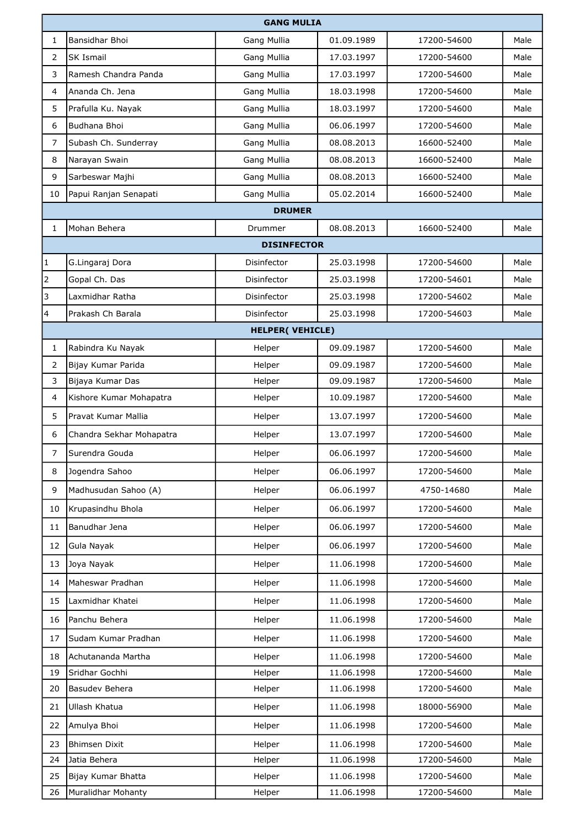|              | <b>GANG MULIA</b>        |                        |            |             |      |  |
|--------------|--------------------------|------------------------|------------|-------------|------|--|
| 1            | Bansidhar Bhoi           | Gang Mullia            | 01.09.1989 | 17200-54600 | Male |  |
| 2            | <b>SK Ismail</b>         | Gang Mullia            | 17.03.1997 | 17200-54600 | Male |  |
| 3            | Ramesh Chandra Panda     | Gang Mullia            | 17.03.1997 | 17200-54600 | Male |  |
| 4            | Ananda Ch. Jena          | Gang Mullia            | 18.03.1998 | 17200-54600 | Male |  |
| 5            | Prafulla Ku. Nayak       | Gang Mullia            | 18.03.1997 | 17200-54600 | Male |  |
| 6            | Budhana Bhoi             | Gang Mullia            | 06.06.1997 | 17200-54600 | Male |  |
| 7            | Subash Ch. Sunderray     | Gang Mullia            | 08.08.2013 | 16600-52400 | Male |  |
| 8            | Narayan Swain            | Gang Mullia            | 08.08.2013 | 16600-52400 | Male |  |
| 9            | Sarbeswar Majhi          | Gang Mullia            | 08.08.2013 | 16600-52400 | Male |  |
| 10           | Papui Ranjan Senapati    | Gang Mullia            | 05.02.2014 | 16600-52400 | Male |  |
|              |                          | <b>DRUMER</b>          |            |             |      |  |
| 1            | Mohan Behera             | Drummer                | 08.08.2013 | 16600-52400 | Male |  |
|              |                          | <b>DISINFECTOR</b>     |            |             |      |  |
| $\mathbf{1}$ | G.Lingaraj Dora          | Disinfector            | 25.03.1998 | 17200-54600 | Male |  |
| 2            | Gopal Ch. Das            | Disinfector            | 25.03.1998 | 17200-54601 | Male |  |
| 3            | Laxmidhar Ratha          | Disinfector            | 25.03.1998 | 17200-54602 | Male |  |
| 4            | Prakash Ch Barala        | Disinfector            | 25.03.1998 | 17200-54603 | Male |  |
|              |                          | <b>HELPER(VEHICLE)</b> |            |             |      |  |
| $\mathbf 1$  | Rabindra Ku Nayak        | Helper                 | 09.09.1987 | 17200-54600 | Male |  |
| 2            | Bijay Kumar Parida       | Helper                 | 09.09.1987 | 17200-54600 | Male |  |
| 3            | Bijaya Kumar Das         | Helper                 | 09.09.1987 | 17200-54600 | Male |  |
| 4            | Kishore Kumar Mohapatra  | Helper                 | 10.09.1987 | 17200-54600 | Male |  |
| 5            | Pravat Kumar Mallia      | Helper                 | 13.07.1997 | 17200-54600 | Male |  |
| 6            | Chandra Sekhar Mohapatra | Helper                 | 13.07.1997 | 17200-54600 | Male |  |
| 7            | Surendra Gouda           | Helper                 | 06.06.1997 | 17200-54600 | Male |  |
| 8            | Jogendra Sahoo           | Helper                 | 06.06.1997 | 17200-54600 | Male |  |
| 9            | Madhusudan Sahoo (A)     | Helper                 | 06.06.1997 | 4750-14680  | Male |  |
| 10           | Krupasindhu Bhola        | Helper                 | 06.06.1997 | 17200-54600 | Male |  |
| 11           | Banudhar Jena            | Helper                 | 06.06.1997 | 17200-54600 | Male |  |
| 12           | Gula Nayak               | Helper                 | 06.06.1997 | 17200-54600 | Male |  |
| 13           | Joya Nayak               | Helper                 | 11.06.1998 | 17200-54600 | Male |  |
| 14           | Maheswar Pradhan         | Helper                 | 11.06.1998 | 17200-54600 | Male |  |
| 15           | Laxmidhar Khatei         | Helper                 | 11.06.1998 | 17200-54600 | Male |  |
| 16           | Panchu Behera            | Helper                 | 11.06.1998 | 17200-54600 | Male |  |
| 17           | Sudam Kumar Pradhan      | Helper                 | 11.06.1998 | 17200-54600 | Male |  |
| 18           | Achutananda Martha       | Helper                 | 11.06.1998 | 17200-54600 | Male |  |
| 19           | Sridhar Gochhi           | Helper                 | 11.06.1998 | 17200-54600 | Male |  |
| 20           | Basudev Behera           | Helper                 | 11.06.1998 | 17200-54600 | Male |  |
| 21           | Ullash Khatua            | Helper                 | 11.06.1998 | 18000-56900 | Male |  |
| 22           | Amulya Bhoi              | Helper                 | 11.06.1998 | 17200-54600 | Male |  |
| 23           | <b>Bhimsen Dixit</b>     | Helper                 | 11.06.1998 | 17200-54600 | Male |  |
| 24           | Jatia Behera             | Helper                 | 11.06.1998 | 17200-54600 | Male |  |
| 25           | Bijay Kumar Bhatta       | Helper                 | 11.06.1998 | 17200-54600 | Male |  |
| 26           | Muralidhar Mohanty       | Helper                 | 11.06.1998 | 17200-54600 | Male |  |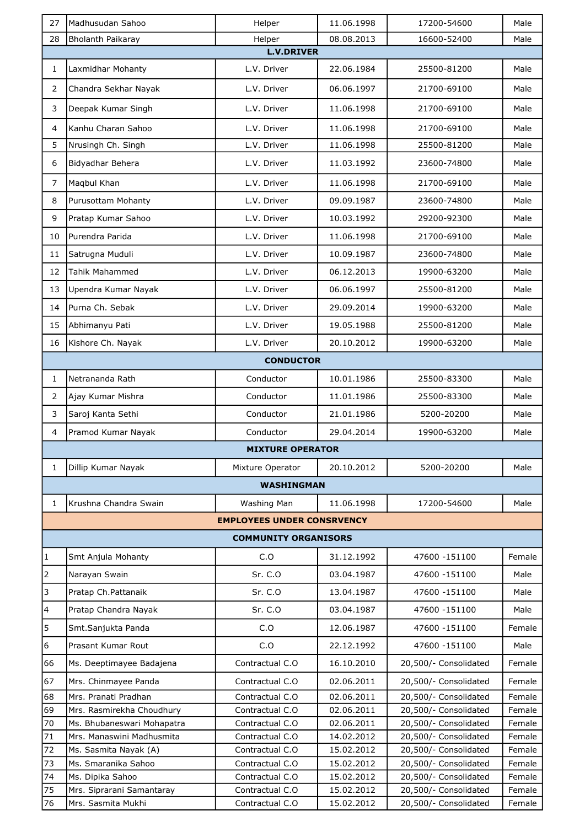| 27                      | Madhusudan Sahoo                             | Helper                             | 11.06.1998               | 17200-54600                                    | Male             |
|-------------------------|----------------------------------------------|------------------------------------|--------------------------|------------------------------------------------|------------------|
| 28                      | Bholanth Paikaray                            | Helper                             | 08.08.2013               | 16600-52400                                    | Male             |
|                         |                                              | <b>L.V.DRIVER</b>                  |                          |                                                |                  |
| 1                       | Laxmidhar Mohanty                            | L.V. Driver                        | 22.06.1984               | 25500-81200                                    | Male             |
| 2                       | Chandra Sekhar Nayak                         | L.V. Driver                        | 06.06.1997               | 21700-69100                                    | Male             |
| 3                       | Deepak Kumar Singh                           | L.V. Driver                        | 11.06.1998               | 21700-69100                                    | Male             |
| 4                       | Kanhu Charan Sahoo                           | L.V. Driver                        | 11.06.1998               | 21700-69100                                    | Male             |
| 5                       | Nrusingh Ch. Singh                           | L.V. Driver                        | 11.06.1998               | 25500-81200                                    | Male             |
| 6                       | Bidyadhar Behera                             | L.V. Driver                        | 11.03.1992               | 23600-74800                                    | Male             |
| $\overline{7}$          | Maqbul Khan                                  | L.V. Driver                        | 11.06.1998               | 21700-69100                                    | Male             |
| 8                       | Purusottam Mohanty                           | L.V. Driver                        | 09.09.1987               | 23600-74800                                    | Male             |
| 9                       | Pratap Kumar Sahoo                           | L.V. Driver                        | 10.03.1992               | 29200-92300                                    | Male             |
| 10                      | Purendra Parida                              | L.V. Driver                        | 11.06.1998               | 21700-69100                                    | Male             |
| 11                      | Satrugna Muduli                              | L.V. Driver                        | 10.09.1987               | 23600-74800                                    | Male             |
| 12                      | Tahik Mahammed                               | L.V. Driver                        | 06.12.2013               | 19900-63200                                    | Male             |
|                         |                                              | L.V. Driver                        |                          |                                                |                  |
| 13                      | Upendra Kumar Nayak                          |                                    | 06.06.1997               | 25500-81200                                    | Male             |
| 14                      | Purna Ch. Sebak                              | L.V. Driver                        | 29.09.2014               | 19900-63200                                    | Male             |
| 15                      | Abhimanyu Pati                               | L.V. Driver                        | 19.05.1988               | 25500-81200                                    | Male             |
| 16                      | Kishore Ch. Nayak                            | L.V. Driver                        | 20.10.2012               | 19900-63200                                    | Male             |
|                         |                                              | <b>CONDUCTOR</b>                   |                          |                                                |                  |
| $\mathbf{1}$            | Netrananda Rath                              | Conductor                          | 10.01.1986               | 25500-83300                                    | Male             |
| $\overline{2}$          | Ajay Kumar Mishra                            | Conductor                          | 11.01.1986               | 25500-83300                                    | Male             |
| 3                       | Saroj Kanta Sethi                            | Conductor                          | 21.01.1986               | 5200-20200                                     | Male             |
| $\overline{4}$          | Pramod Kumar Nayak                           | Conductor                          | 29.04.2014               | 19900-63200                                    | Male             |
|                         |                                              | <b>MIXTURE OPERATOR</b>            |                          |                                                |                  |
| $\mathbf{1}$            | Dillip Kumar Nayak                           | Mixture Operator                   | 20.10.2012               | 5200-20200                                     | Male             |
|                         |                                              | <b>WASHINGMAN</b>                  |                          |                                                |                  |
| 1                       | Krushna Chandra Swain                        | Washing Man                        | 11.06.1998               | 17200-54600                                    | Male             |
|                         |                                              | <b>EMPLOYEES UNDER CONSRVENCY</b>  |                          |                                                |                  |
|                         |                                              |                                    |                          |                                                |                  |
|                         |                                              | <b>COMMUNITY ORGANISORS</b>        |                          |                                                |                  |
| $\vert$ 1               | Smt Anjula Mohanty                           | C.O                                | 31.12.1992               | 47600 -151100                                  | Female           |
| 2                       | Narayan Swain                                | Sr. C.O                            | 03.04.1987               | 47600 - 151100                                 | Male             |
| 3                       | Pratap Ch.Pattanaik                          | Sr. C.O                            | 13.04.1987               | 47600 -151100                                  | Male             |
| $\overline{\mathbf{4}}$ | Pratap Chandra Nayak                         | Sr. C.O                            | 03.04.1987               | 47600 -151100                                  | Male             |
| 5                       | Smt.Sanjukta Panda                           | C.O                                | 12.06.1987               | 47600 -151100                                  | Female           |
| $6\overline{6}$         | Prasant Kumar Rout                           | C.O                                | 22.12.1992               | 47600 -151100                                  | Male             |
| 66                      | Ms. Deeptimayee Badajena                     | Contractual C.O                    | 16.10.2010               | 20,500/- Consolidated                          | Female           |
| 67                      | Mrs. Chinmayee Panda                         | Contractual C.O                    | 02.06.2011               | 20,500/- Consolidated                          | Female           |
| 68                      | Mrs. Pranati Pradhan                         | Contractual C.O                    | 02.06.2011               | 20,500/- Consolidated                          | Female           |
| 69                      | Mrs. Rasmirekha Choudhury                    | Contractual C.O                    | 02.06.2011               | 20,500/- Consolidated                          | Female           |
| 70                      | Ms. Bhubaneswari Mohapatra                   | Contractual C.O                    | 02.06.2011               | 20,500/- Consolidated                          | Female           |
| 71                      | Mrs. Manaswini Madhusmita                    | Contractual C.O                    | 14.02.2012               | 20,500/- Consolidated                          | Female           |
| 72<br>73                | Ms. Sasmita Nayak (A)<br>Ms. Smaranika Sahoo | Contractual C.O<br>Contractual C.O | 15.02.2012<br>15.02.2012 | 20,500/- Consolidated<br>20,500/- Consolidated | Female<br>Female |
| 74                      | Ms. Dipika Sahoo                             | Contractual C.O                    | 15.02.2012               | 20,500/- Consolidated                          | Female           |
| 75                      | Mrs. Siprarani Samantaray                    | Contractual C.O                    | 15.02.2012               | 20,500/- Consolidated                          | Female           |
| 76                      | Mrs. Sasmita Mukhi                           | Contractual C.O                    | 15.02.2012               | 20,500/- Consolidated                          | Female           |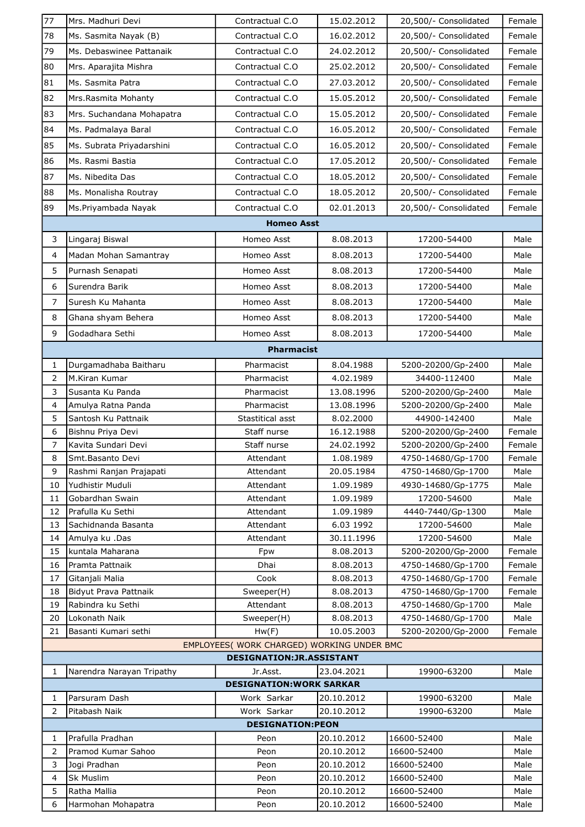| 77                      | Mrs. Madhuri Devi                                                        | Contractual C.O                 | 15.02.2012               | 20,500/- Consolidated                    | Female         |  |
|-------------------------|--------------------------------------------------------------------------|---------------------------------|--------------------------|------------------------------------------|----------------|--|
| 78                      | Ms. Sasmita Nayak (B)                                                    | Contractual C.O                 | 16.02.2012               | 20,500/- Consolidated                    | Female         |  |
| 79                      | Ms. Debaswinee Pattanaik                                                 | Contractual C.O.                | 24.02.2012               | 20,500/- Consolidated                    | Female         |  |
| 80                      | Mrs. Aparajita Mishra                                                    | Contractual C.O                 | 25.02.2012               | 20,500/- Consolidated                    | Female         |  |
| 81                      | Ms. Sasmita Patra                                                        | Contractual C.O                 | 27.03.2012               | 20,500/- Consolidated                    | Female         |  |
| 82                      | Mrs.Rasmita Mohanty                                                      | Contractual C.O                 | 15.05.2012               | 20,500/- Consolidated                    | Female         |  |
| 83                      | Mrs. Suchandana Mohapatra                                                | Contractual C.O                 | 15.05.2012               | 20,500/- Consolidated                    | Female         |  |
| 84                      | Ms. Padmalaya Baral                                                      | Contractual C.O.                | 16.05.2012               | 20,500/- Consolidated                    | Female         |  |
| 85                      | Ms. Subrata Priyadarshini                                                | Contractual C.O                 | 16.05.2012               | 20,500/- Consolidated                    | Female         |  |
| 86                      | Ms. Rasmi Bastia                                                         | Contractual C.O                 | 17.05.2012               | 20,500/- Consolidated                    | Female         |  |
| 87                      | Ms. Nibedita Das                                                         | Contractual C.O.                | 18.05.2012               | 20,500/- Consolidated                    | Female         |  |
| 88                      | Ms. Monalisha Routray                                                    | Contractual C.O                 | 18.05.2012               | 20,500/- Consolidated                    | Female         |  |
| 89                      | Ms.Priyambada Nayak                                                      | Contractual C.O                 | 02.01.2013               | 20,500/- Consolidated                    | Female         |  |
|                         |                                                                          |                                 |                          |                                          |                |  |
|                         |                                                                          | <b>Homeo Asst</b>               |                          |                                          |                |  |
| 3                       | Lingaraj Biswal                                                          | Homeo Asst                      | 8.08.2013                | 17200-54400                              | Male           |  |
| $\overline{4}$          | Madan Mohan Samantray                                                    | Homeo Asst                      | 8.08.2013                | 17200-54400                              | Male           |  |
| 5                       | Purnash Senapati                                                         | Homeo Asst                      | 8.08.2013                | 17200-54400                              | Male           |  |
| 6                       | Surendra Barik                                                           | Homeo Asst                      | 8.08.2013                | 17200-54400                              | Male           |  |
| $\overline{7}$          | Suresh Ku Mahanta                                                        | Homeo Asst                      | 8.08.2013                | 17200-54400                              | Male           |  |
| 8                       | Ghana shyam Behera                                                       | Homeo Asst                      | 8.08.2013                | 17200-54400                              | Male           |  |
| 9                       | Godadhara Sethi                                                          | Homeo Asst                      | 8.08.2013                | 17200-54400                              | Male           |  |
|                         |                                                                          | <b>Pharmacist</b>               |                          |                                          |                |  |
| $\mathbf{1}$            | Durgamadhaba Baitharu                                                    | Pharmacist                      | 8.04.1988                | 5200-20200/Gp-2400                       | Male           |  |
| $\overline{2}$          | M.Kiran Kumar                                                            | Pharmacist                      | 4.02.1989                | 34400-112400                             | Male           |  |
| 3                       | Susanta Ku Panda                                                         | Pharmacist                      | 13.08.1996               | 5200-20200/Gp-2400                       | Male           |  |
| $\overline{\mathbf{4}}$ | Amulya Ratna Panda                                                       | Pharmacist                      | 13.08.1996               | 5200-20200/Gp-2400                       | Male           |  |
| 5                       | Santosh Ku Pattnaik                                                      | Stastitical asst                | 8.02.2000                | 44900-142400                             | Male           |  |
| 6                       | Bishnu Priya Devi                                                        | Staff nurse                     | 16.12.1988               | 5200-20200/Gp-2400                       | Female         |  |
| $\overline{7}$          | Kavita Sundari Devi                                                      | Staff nurse                     | 24.02.1992               | 5200-20200/Gp-2400                       | Female         |  |
| 8<br>9                  | Smt.Basanto Devi<br>Rashmi Ranjan Prajapati                              | Attendant<br>Attendant          | 1.08.1989<br>20.05.1984  | 4750-14680/Gp-1700<br>4750-14680/Gp-1700 | Female<br>Male |  |
| 10                      | Yudhistir Muduli                                                         | Attendant                       | 1.09.1989                | 4930-14680/Gp-1775                       | Male           |  |
| 11                      | Gobardhan Swain                                                          | Attendant                       | 1.09.1989                | 17200-54600                              | Male           |  |
| 12                      | Prafulla Ku Sethi                                                        | Attendant                       | 1.09.1989                | 4440-7440/Gp-1300                        | Male           |  |
| 13                      | Sachidnanda Basanta                                                      | Attendant                       | 6.03 1992                | 17200-54600                              | Male           |  |
| 14                      | Amulya ku .Das                                                           | Attendant                       | 30.11.1996               | 17200-54600                              | Male           |  |
| 15                      | kuntala Maharana                                                         | Fpw                             | 8.08.2013                | 5200-20200/Gp-2000                       | Female         |  |
| 16                      | Pramta Pattnaik                                                          | Dhai                            | 8.08.2013                | 4750-14680/Gp-1700                       | Female         |  |
| 17                      | Gitanjali Malia                                                          | Cook                            | 8.08.2013                | 4750-14680/Gp-1700                       | Female         |  |
| 18                      | Bidyut Prava Pattnaik                                                    | Sweeper(H)                      | 8.08.2013                | 4750-14680/Gp-1700                       | Female         |  |
| 19<br>20                | Rabindra ku Sethi<br>Lokonath Naik                                       | Attendant                       | 8.08.2013                | 4750-14680/Gp-1700                       | Male<br>Male   |  |
| 21                      | Basanti Kumari sethi                                                     | Sweeper(H)<br>Hw(F)             | 8.08.2013<br>10.05.2003  | 4750-14680/Gp-1700<br>5200-20200/Gp-2000 | Female         |  |
|                         |                                                                          |                                 |                          |                                          |                |  |
|                         | EMPLOYEES( WORK CHARGED) WORKING UNDER BMC<br>DESIGNATION: JR. ASSISTANT |                                 |                          |                                          |                |  |
| 1                       | Narendra Narayan Tripathy                                                | Jr.Asst.                        | 23.04.2021               | 19900-63200                              | Male           |  |
|                         |                                                                          | <b>DESIGNATION: WORK SARKAR</b> |                          |                                          |                |  |
| 1                       | Parsuram Dash                                                            | Work Sarkar                     | 20.10.2012               | 19900-63200                              | Male           |  |
| $\overline{2}$          | Pitabash Naik                                                            | Work Sarkar                     | 20.10.2012               | 19900-63200                              | Male           |  |
|                         |                                                                          | <b>DESIGNATION:PEON</b>         |                          |                                          |                |  |
| 1                       | Prafulla Pradhan                                                         | Peon                            | 20.10.2012               | 16600-52400                              | Male           |  |
| $\overline{2}$<br>3     | Pramod Kumar Sahoo<br>Jogi Pradhan                                       | Peon<br>Peon                    | 20.10.2012<br>20.10.2012 | 16600-52400<br>16600-52400               | Male<br>Male   |  |
| $\overline{4}$          | <b>Sk Muslim</b>                                                         | Peon                            | 20.10.2012               | 16600-52400                              | Male           |  |
| 5                       | Ratha Mallia                                                             | Peon                            | 20.10.2012               | 16600-52400                              | Male           |  |
| 6                       | Harmohan Mohapatra                                                       | Peon                            | 20.10.2012               | 16600-52400                              | Male           |  |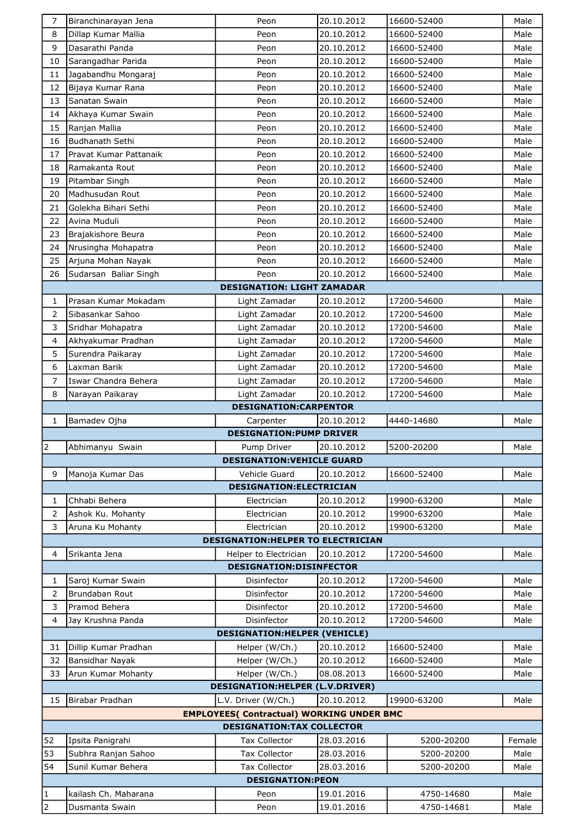| 7                              | Biranchinarayan Jena                   | Peon                                             | 20.10.2012               | 16600-52400              | Male         |
|--------------------------------|----------------------------------------|--------------------------------------------------|--------------------------|--------------------------|--------------|
| 8                              | Dillap Kumar Mallia                    | Peon                                             | 20.10.2012               | 16600-52400              | Male         |
| 9                              | Dasarathi Panda                        | Peon                                             | 20.10.2012               | 16600-52400              | Male         |
| 10                             | Sarangadhar Parida                     | Peon                                             | 20.10.2012               | 16600-52400              | Male         |
| 11                             | Jagabandhu Mongaraj                    | Peon                                             | 20.10.2012               | 16600-52400              | Male         |
| 12                             | Bijaya Kumar Rana                      | Peon                                             | 20.10.2012               | 16600-52400              | Male         |
| 13                             | Sanatan Swain                          | Peon                                             | 20.10.2012               | 16600-52400              | Male         |
| 14                             | Akhaya Kumar Swain                     | Peon                                             | 20.10.2012               | 16600-52400              | Male         |
| 15                             | Ranjan Mallia                          | Peon                                             | 20.10.2012               | 16600-52400              | Male         |
| 16                             | Budhanath Sethi                        | Peon                                             | 20.10.2012               | 16600-52400              | Male         |
| 17                             | Pravat Kumar Pattanaik                 | Peon                                             | 20.10.2012               | 16600-52400              | Male         |
| 18                             | Ramakanta Rout                         | Peon                                             | 20.10.2012               | 16600-52400              | Male         |
| 19                             | Pitambar Singh                         | Peon                                             | 20.10.2012               | 16600-52400              | Male         |
| 20                             | Madhusudan Rout                        | Peon                                             | 20.10.2012               | 16600-52400              | Male         |
| 21                             | Golekha Bihari Sethi                   | Peon                                             | 20.10.2012               | 16600-52400              | Male         |
| 22                             | Avina Muduli                           | Peon                                             | 20.10.2012               | 16600-52400              | Male         |
| 23                             | Brajakishore Beura                     | Peon                                             | 20.10.2012               | 16600-52400              | Male         |
|                                |                                        |                                                  |                          | 16600-52400              |              |
| 24                             | Nrusingha Mohapatra                    | Peon                                             | 20.10.2012               |                          | Male         |
| 25                             | Arjuna Mohan Nayak                     | Peon                                             | 20.10.2012               | 16600-52400              | Male         |
| 26                             | Sudarsan Baliar Singh                  | Peon                                             | 20.10.2012               | 16600-52400              | Male         |
|                                |                                        | <b>DESIGNATION: LIGHT ZAMADAR</b>                |                          |                          |              |
| 1                              | Prasan Kumar Mokadam                   | Light Zamadar                                    | 20.10.2012               | 17200-54600              | Male         |
| 2                              | Sibasankar Sahoo                       | Light Zamadar                                    | 20.10.2012               | 17200-54600              | Male         |
| 3                              | Sridhar Mohapatra                      | Light Zamadar                                    | 20.10.2012               | 17200-54600              | Male         |
| $\overline{4}$                 | Akhyakumar Pradhan                     | Light Zamadar                                    | 20.10.2012               | 17200-54600              | Male         |
| 5                              | Surendra Paikaray                      | Light Zamadar                                    | 20.10.2012               | 17200-54600              | Male         |
| 6                              | Laxman Barik                           | Light Zamadar                                    | 20.10.2012               | 17200-54600              | Male         |
| $\overline{7}$                 | Iswar Chandra Behera                   | Light Zamadar                                    | 20.10.2012               | 17200-54600              | Male         |
| 8                              | Narayan Paikaray                       | Light Zamadar                                    | 20.10.2012               | 17200-54600              | Male         |
|                                |                                        | <b>DESIGNATION:CARPENTOR</b>                     |                          |                          |              |
| 1                              | Bamadev Ojha                           | Carpenter                                        | 20.10.2012               | 4440-14680               | Male         |
|                                |                                        | <b>DESIGNATION:PUMP DRIVER</b>                   |                          |                          |              |
| $\overline{2}$                 | Abhimanyu Swain                        | Pump Driver                                      | 20.10.2012               | 5200-20200               | Male         |
|                                |                                        | <b>DESIGNATION: VEHICLE GUARD</b>                |                          |                          |              |
| 9                              | Manoja Kumar Das                       | Vehicle Guard                                    | 20.10.2012               | 16600-52400              | Male         |
|                                |                                        | <b>DESIGNATION: ELECTRICIAN</b>                  |                          |                          |              |
| $\mathbf{1}$                   | Chhabi Behera                          | Electrician                                      | 20.10.2012               | 19900-63200              | Male         |
| 2                              | Ashok Ku. Mohanty                      | Electrician                                      | 20.10.2012               | 19900-63200              | Male         |
| 3                              | Aruna Ku Mohanty                       | Electrician                                      | 20.10.2012               | 19900-63200              | Male         |
|                                |                                        | <b>DESIGNATION:HELPER TO ELECTRICIAN</b>         |                          |                          |              |
| 4                              | Srikanta Jena                          | Helper to Electrician                            | 20.10.2012               | 17200-54600              | Male         |
|                                |                                        | <b>DESIGNATION:DISINFECTOR</b>                   |                          |                          |              |
| 1                              | Saroj Kumar Swain                      | Disinfector                                      | 20.10.2012               | 17200-54600              | Male         |
| 2                              | Brundaban Rout                         | Disinfector                                      | 20.10.2012               | 17200-54600              | Male         |
| 3                              | Pramod Behera                          | Disinfector                                      | 20.10.2012               | 17200-54600              | Male         |
| 4                              | Jay Krushna Panda                      | Disinfector                                      | 20.10.2012               | 17200-54600              | Male         |
|                                |                                        | <b>DESIGNATION:HELPER (VEHICLE)</b>              |                          |                          |              |
| 31                             | Dillip Kumar Pradhan                   | Helper (W/Ch.)                                   | 20.10.2012               | 16600-52400              | Male         |
| 32                             | Bansidhar Nayak                        | Helper (W/Ch.)                                   | 20.10.2012               | 16600-52400              | Male         |
| 33                             | Arun Kumar Mohanty                     | Helper (W/Ch.)                                   | 08.08.2013               | 16600-52400              | Male         |
|                                |                                        | <b>DESIGNATION:HELPER (L.V.DRIVER)</b>           |                          |                          |              |
| 15                             | Birabar Pradhan                        | L.V. Driver (W/Ch.)                              | 20.10.2012               | 19900-63200              | Male         |
|                                |                                        | <b>EMPLOYEES( Contractual) WORKING UNDER BMC</b> |                          |                          |              |
|                                |                                        | <b>DESIGNATION: TAX COLLECTOR</b>                |                          |                          |              |
| 52                             | Ipsita Panigrahi                       | <b>Tax Collector</b>                             | 28.03.2016               | 5200-20200               | Female       |
| 53                             | Subhra Ranjan Sahoo                    | <b>Tax Collector</b>                             | 28.03.2016               | 5200-20200               | Male         |
| 54                             |                                        | <b>Tax Collector</b>                             | 28.03.2016               | 5200-20200               | Male         |
|                                |                                        |                                                  |                          |                          |              |
|                                | Sunil Kumar Behera                     |                                                  |                          |                          |              |
|                                |                                        | <b>DESIGNATION:PEON</b>                          |                          |                          |              |
| $\mathbf{1}$<br>$\overline{2}$ | kailash Ch. Maharana<br>Dusmanta Swain | Peon<br>Peon                                     | 19.01.2016<br>19.01.2016 | 4750-14680<br>4750-14681 | Male<br>Male |